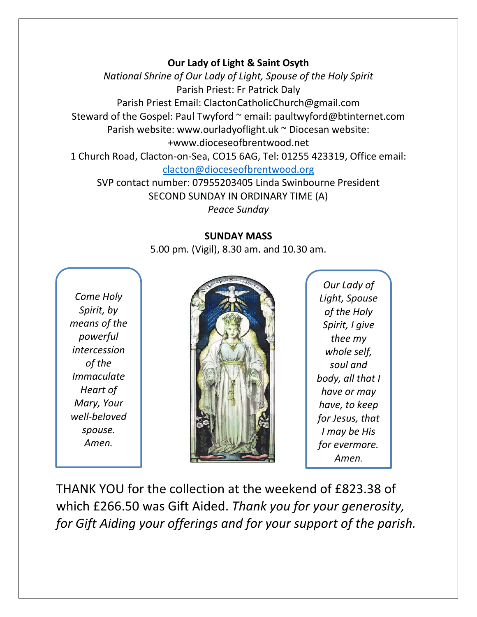## **Our Lady of Light & Saint Osyth**

*National Shrine of Our Lady of Light, Spouse of the Holy Spirit* Parish Priest: Fr Patrick Daly Parish Priest Email: ClactonCatholicChurch@gmail.com Steward of the Gospel: Paul Twyford ~ email: paultwyford@btinternet.com Parish website: www.ourladyoflight.uk ~ Diocesan website: +www.dioceseofbrentwood.net 1 Church Road, Clacton-on-Sea, CO15 6AG, Tel: 01255 423319, Office email: [clacton@dioceseofbrentwood.org](mailto:clacton@dioceseofbrentwood.org) SVP contact number: 07955203405 Linda Swinbourne President

SECOND SUNDAY IN ORDINARY TIME (A)

*Peace Sunday*

## **SUNDAY MASS**

5.00 pm. (Vigil), 8.30 am. and 10.30 am.

*Come Holy Spirit, by means of the powerful intercession of the Immaculate Heart of Mary, Your well-beloved spouse. Amen.*



*Our Lady of Light, Spouse of the Holy Spirit, I give thee my whole self, soul and body, all that I have or may have, to keep for Jesus, that I may be His for evermore. Amen.*

THANK YOU for the collection at the weekend of £823.38 of which £266.50 was Gift Aided. *Thank you for your generosity, for Gift Aiding your offerings and for your support of the parish.*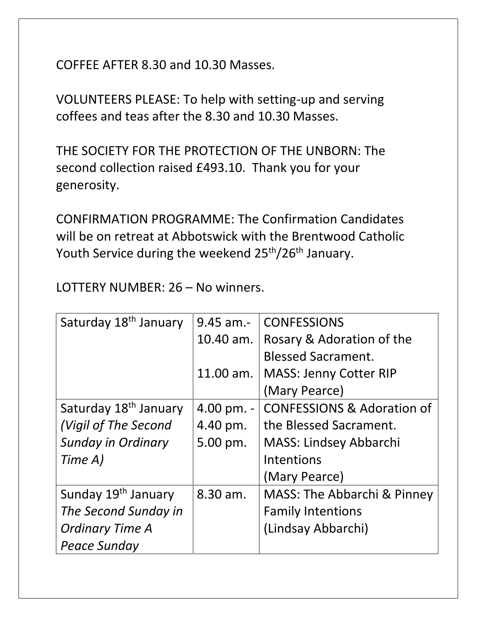COFFEE AFTER 8.30 and 10.30 Masses.

VOLUNTEERS PLEASE: To help with setting-up and serving coffees and teas after the 8.30 and 10.30 Masses.

THE SOCIETY FOR THE PROTECTION OF THE UNBORN: The second collection raised £493.10. Thank you for your generosity.

CONFIRMATION PROGRAMME: The Confirmation Candidates will be on retreat at Abbotswick with the Brentwood Catholic Youth Service during the weekend 25<sup>th</sup>/26<sup>th</sup> January.

| Saturday 18 <sup>th</sup> January | $9.45$ am.-              | <b>CONFESSIONS</b>                    |
|-----------------------------------|--------------------------|---------------------------------------|
|                                   | 10.40 am.                | Rosary & Adoration of the             |
|                                   |                          | <b>Blessed Sacrament.</b>             |
|                                   | 11.00 am.                | <b>MASS: Jenny Cotter RIP</b>         |
|                                   |                          | (Mary Pearce)                         |
| Saturday 18 <sup>th</sup> January | $4.00 \,\mathrm{pm}$ . - | <b>CONFESSIONS &amp; Adoration of</b> |
| (Vigil of The Second              | 4.40 pm.                 | the Blessed Sacrament.                |
| <b>Sunday in Ordinary</b>         | 5.00 pm.                 | <b>MASS: Lindsey Abbarchi</b>         |
| Time A)                           |                          | Intentions                            |
|                                   |                          | (Mary Pearce)                         |
| Sunday 19 <sup>th</sup> January   | 8.30 am.                 | MASS: The Abbarchi & Pinney           |
| The Second Sunday in              |                          | <b>Family Intentions</b>              |
| <b>Ordinary Time A</b>            |                          | (Lindsay Abbarchi)                    |
| <b>Peace Sunday</b>               |                          |                                       |

LOTTERY NUMBER: 26 – No winners.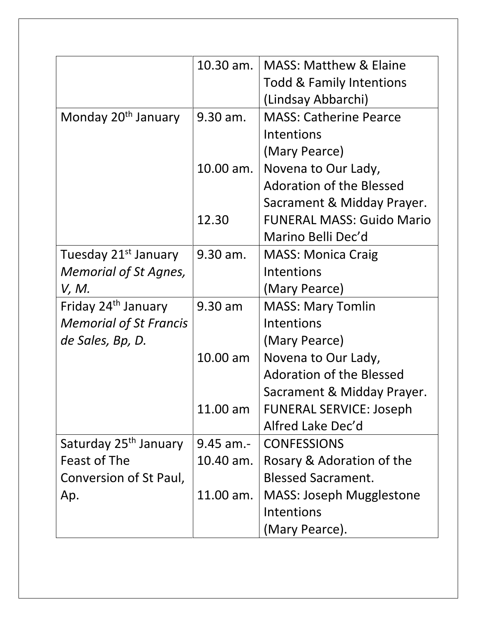|                                   | $10.30$ am. | <b>MASS: Matthew &amp; Elaine</b>   |
|-----------------------------------|-------------|-------------------------------------|
|                                   |             | <b>Todd &amp; Family Intentions</b> |
|                                   |             | (Lindsay Abbarchi)                  |
| Monday 20 <sup>th</sup> January   | 9.30 am.    | <b>MASS: Catherine Pearce</b>       |
|                                   |             | Intentions                          |
|                                   |             | (Mary Pearce)                       |
|                                   | 10.00 am.   | Novena to Our Lady,                 |
|                                   |             | <b>Adoration of the Blessed</b>     |
|                                   |             | Sacrament & Midday Prayer.          |
|                                   | 12.30       | <b>FUNERAL MASS: Guido Mario</b>    |
|                                   |             | Marino Belli Dec'd                  |
| Tuesday 21 <sup>st</sup> January  | 9.30 am.    | <b>MASS: Monica Craig</b>           |
| <b>Memorial of St Agnes,</b>      |             | Intentions                          |
| V, M.                             |             | (Mary Pearce)                       |
| Friday 24 <sup>th</sup> January   | 9.30 am     | <b>MASS: Mary Tomlin</b>            |
| <b>Memorial of St Francis</b>     |             | Intentions                          |
| de Sales, Bp, D.                  |             | (Mary Pearce)                       |
|                                   | 10.00 am    | Novena to Our Lady,                 |
|                                   |             | <b>Adoration of the Blessed</b>     |
|                                   |             | Sacrament & Midday Prayer.          |
|                                   | 11.00 am    | <b>FUNERAL SERVICE: Joseph</b>      |
|                                   |             | Alfred Lake Dec'd                   |
| Saturday 25 <sup>th</sup> January | 9.45 am.-   | <b>CONFESSIONS</b>                  |
| Feast of The                      | 10.40 am.   | Rosary & Adoration of the           |
| Conversion of St Paul,            |             | <b>Blessed Sacrament.</b>           |
| Ap.                               | 11.00 am.   | <b>MASS: Joseph Mugglestone</b>     |
|                                   |             | Intentions                          |
|                                   |             | (Mary Pearce).                      |